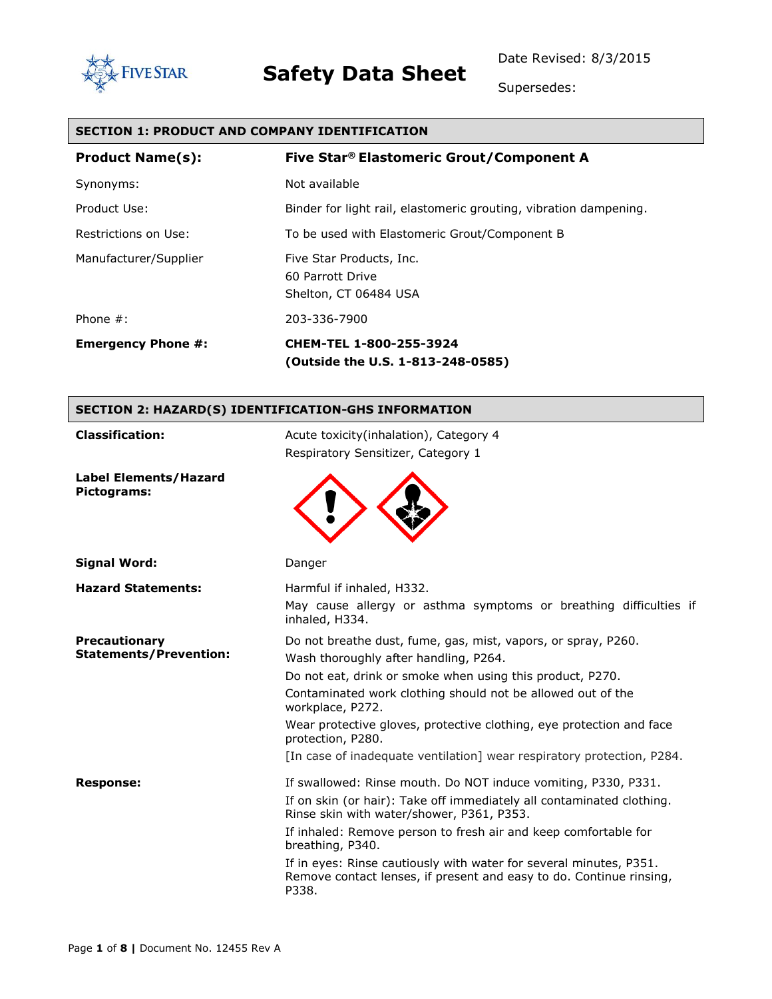



Supersedes:

### **SECTION 1: PRODUCT AND COMPANY IDENTIFICATION**

| <b>Product Name(s):</b>   | Five Star® Elastomeric Grout/Component A                              |
|---------------------------|-----------------------------------------------------------------------|
| Synonyms:                 | Not available                                                         |
| Product Use:              | Binder for light rail, elastomeric grouting, vibration dampening.     |
| Restrictions on Use:      | To be used with Elastomeric Grout/Component B                         |
| Manufacturer/Supplier     | Five Star Products, Inc.<br>60 Parrott Drive<br>Shelton, CT 06484 USA |
| Phone $#$ :               | 203-336-7900                                                          |
| <b>Emergency Phone #:</b> | CHEM-TEL 1-800-255-3924<br>(Outside the U.S. 1-813-248-0585)          |

### **SECTION 2: HAZARD(S) IDENTIFICATION-GHS INFORMATION**

| <b>Classification:</b>                      | Acute toxicity (inhalation), Category 4<br>Respiratory Sensitizer, Category 1                                                                                                                                                                                                                                                                                                                                                     |  |
|---------------------------------------------|-----------------------------------------------------------------------------------------------------------------------------------------------------------------------------------------------------------------------------------------------------------------------------------------------------------------------------------------------------------------------------------------------------------------------------------|--|
| <b>Label Elements/Hazard</b><br>Pictograms: |                                                                                                                                                                                                                                                                                                                                                                                                                                   |  |
| Signal Word:                                | Danger                                                                                                                                                                                                                                                                                                                                                                                                                            |  |
| <b>Hazard Statements:</b>                   | Harmful if inhaled, H332.<br>May cause allergy or asthma symptoms or breathing difficulties if<br>inhaled, H334.                                                                                                                                                                                                                                                                                                                  |  |
| Precautionary<br>Statements/Prevention:     | Do not breathe dust, fume, gas, mist, vapors, or spray, P260.<br>Wash thoroughly after handling, P264.<br>Do not eat, drink or smoke when using this product, P270.<br>Contaminated work clothing should not be allowed out of the<br>workplace, P272.<br>Wear protective gloves, protective clothing, eye protection and face                                                                                                    |  |
|                                             | protection, P280.<br>[In case of inadequate ventilation] wear respiratory protection, P284.                                                                                                                                                                                                                                                                                                                                       |  |
| <b>Response:</b>                            | If swallowed: Rinse mouth. Do NOT induce vomiting, P330, P331.<br>If on skin (or hair): Take off immediately all contaminated clothing.<br>Rinse skin with water/shower, P361, P353.<br>If inhaled: Remove person to fresh air and keep comfortable for<br>breathing, P340.<br>If in eyes: Rinse cautiously with water for several minutes, P351.<br>Remove contact lenses, if present and easy to do. Continue rinsing,<br>P338. |  |
|                                             |                                                                                                                                                                                                                                                                                                                                                                                                                                   |  |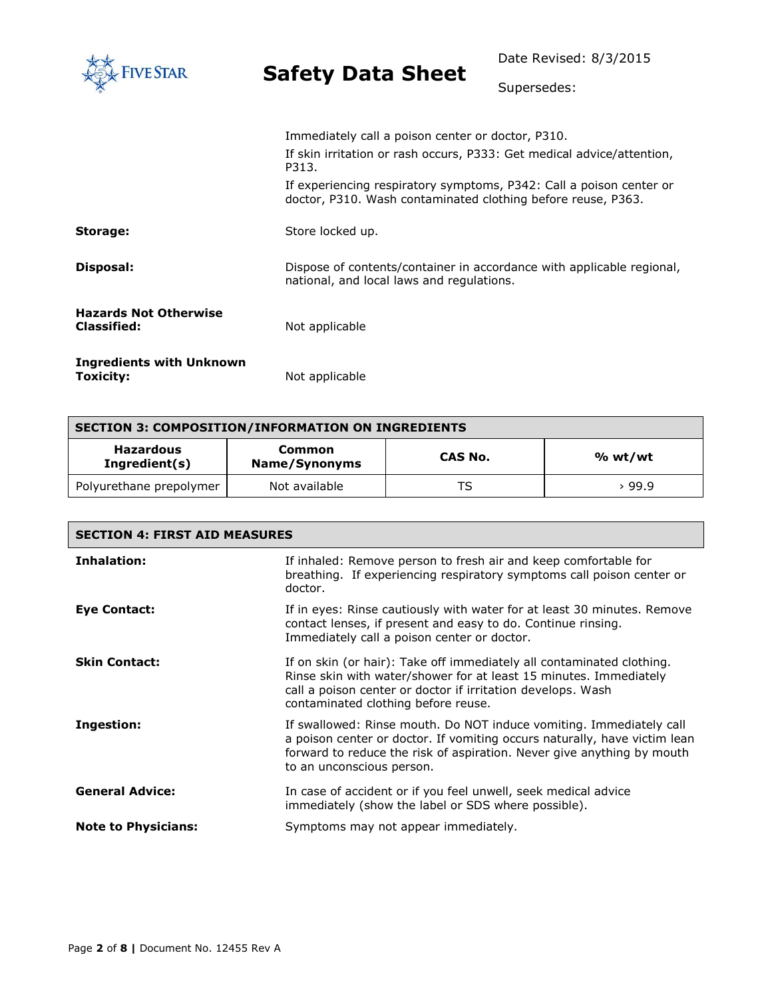| <b>IVE STAR</b>                                    | <b>Safety Data Sheet</b>                                                                                                             | Date Revised: 8/3/2015<br>Supersedes: |
|----------------------------------------------------|--------------------------------------------------------------------------------------------------------------------------------------|---------------------------------------|
|                                                    |                                                                                                                                      |                                       |
|                                                    | Immediately call a poison center or doctor, P310.<br>If skin irritation or rash occurs, P333: Get medical advice/attention,<br>P313. |                                       |
|                                                    | If experiencing respiratory symptoms, P342: Call a poison center or<br>doctor, P310. Wash contaminated clothing before reuse, P363.  |                                       |
| Storage:                                           | Store locked up.                                                                                                                     |                                       |
| Disposal:                                          | Dispose of contents/container in accordance with applicable regional,<br>national, and local laws and regulations.                   |                                       |
| <b>Hazards Not Otherwise</b><br><b>Classified:</b> | Not applicable                                                                                                                       |                                       |
| <b>Ingredients with Unknown</b><br>Toxicity:       | Not applicable                                                                                                                       |                                       |

| <b>SECTION 3: COMPOSITION/INFORMATION ON INGREDIENTS</b> |                                |         |         |
|----------------------------------------------------------|--------------------------------|---------|---------|
| <b>Hazardous</b><br>Ingredient(s)                        | <b>Common</b><br>Name/Synonyms | CAS No. | % wt/wt |
| Polyurethane prepolymer                                  | Not available                  | TS      | 99.9 ہ  |

| <b>SECTION 4: FIRST AID MEASURES</b> |                                                                                                                                                                                                                                                         |  |
|--------------------------------------|---------------------------------------------------------------------------------------------------------------------------------------------------------------------------------------------------------------------------------------------------------|--|
| Inhalation:                          | If inhaled: Remove person to fresh air and keep comfortable for<br>breathing. If experiencing respiratory symptoms call poison center or<br>doctor.                                                                                                     |  |
| Eye Contact:                         | If in eyes: Rinse cautiously with water for at least 30 minutes. Remove<br>contact lenses, if present and easy to do. Continue rinsing.<br>Immediately call a poison center or doctor.                                                                  |  |
| <b>Skin Contact:</b>                 | If on skin (or hair): Take off immediately all contaminated clothing.<br>Rinse skin with water/shower for at least 15 minutes. Immediately<br>call a poison center or doctor if irritation develops. Wash<br>contaminated clothing before reuse.        |  |
| Ingestion:                           | If swallowed: Rinse mouth. Do NOT induce vomiting. Immediately call<br>a poison center or doctor. If vomiting occurs naturally, have victim lean<br>forward to reduce the risk of aspiration. Never give anything by mouth<br>to an unconscious person. |  |
| <b>General Advice:</b>               | In case of accident or if you feel unwell, seek medical advice<br>immediately (show the label or SDS where possible).                                                                                                                                   |  |
| <b>Note to Physicians:</b>           | Symptoms may not appear immediately.                                                                                                                                                                                                                    |  |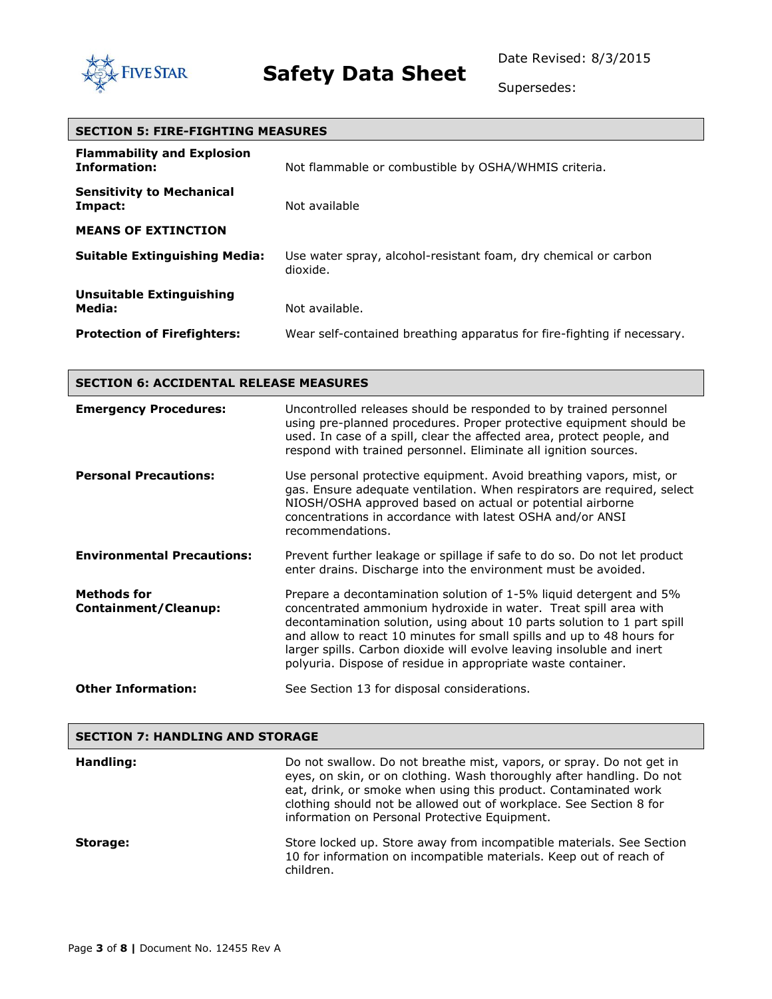

Supersedes:

| <b>SECTION 5: FIRE-FIGHTING MEASURES</b>                 |                                                                             |  |
|----------------------------------------------------------|-----------------------------------------------------------------------------|--|
| <b>Flammability and Explosion</b><br><b>Information:</b> | Not flammable or combustible by OSHA/WHMIS criteria.                        |  |
| <b>Sensitivity to Mechanical</b><br>Impact:              | Not available                                                               |  |
| <b>MEANS OF EXTINCTION</b>                               |                                                                             |  |
| <b>Suitable Extinguishing Media:</b>                     | Use water spray, alcohol-resistant foam, dry chemical or carbon<br>dioxide. |  |
| Unsuitable Extinguishing                                 |                                                                             |  |
| Media:                                                   | Not available.                                                              |  |
| <b>Protection of Firefighters:</b>                       | Wear self-contained breathing apparatus for fire-fighting if necessary.     |  |

| <b>SECTION 6: ACCIDENTAL RELEASE MEASURES</b>     |                                                                                                                                                                                                                                                                                                                                                                                                                                    |  |
|---------------------------------------------------|------------------------------------------------------------------------------------------------------------------------------------------------------------------------------------------------------------------------------------------------------------------------------------------------------------------------------------------------------------------------------------------------------------------------------------|--|
| <b>Emergency Procedures:</b>                      | Uncontrolled releases should be responded to by trained personnel<br>using pre-planned procedures. Proper protective equipment should be<br>used. In case of a spill, clear the affected area, protect people, and<br>respond with trained personnel. Eliminate all ignition sources.                                                                                                                                              |  |
| <b>Personal Precautions:</b>                      | Use personal protective equipment. Avoid breathing vapors, mist, or<br>gas. Ensure adequate ventilation. When respirators are required, select<br>NIOSH/OSHA approved based on actual or potential airborne<br>concentrations in accordance with latest OSHA and/or ANSI<br>recommendations.                                                                                                                                       |  |
| <b>Environmental Precautions:</b>                 | Prevent further leakage or spillage if safe to do so. Do not let product<br>enter drains. Discharge into the environment must be avoided.                                                                                                                                                                                                                                                                                          |  |
| <b>Methods for</b><br><b>Containment/Cleanup:</b> | Prepare a decontamination solution of 1-5% liquid detergent and 5%<br>concentrated ammonium hydroxide in water. Treat spill area with<br>decontamination solution, using about 10 parts solution to 1 part spill<br>and allow to react 10 minutes for small spills and up to 48 hours for<br>larger spills. Carbon dioxide will evolve leaving insoluble and inert<br>polyuria. Dispose of residue in appropriate waste container. |  |
| <b>Other Information:</b>                         | See Section 13 for disposal considerations.                                                                                                                                                                                                                                                                                                                                                                                        |  |

| <b>SECTION 7: HANDLING AND STORAGE</b> |                                                                                                                                                                                                                                                                                                                                         |  |
|----------------------------------------|-----------------------------------------------------------------------------------------------------------------------------------------------------------------------------------------------------------------------------------------------------------------------------------------------------------------------------------------|--|
| Handling:                              | Do not swallow. Do not breathe mist, vapors, or spray. Do not get in<br>eyes, on skin, or on clothing. Wash thoroughly after handling. Do not<br>eat, drink, or smoke when using this product. Contaminated work<br>clothing should not be allowed out of workplace. See Section 8 for<br>information on Personal Protective Equipment. |  |
| Storage:                               | Store locked up. Store away from incompatible materials. See Section<br>10 for information on incompatible materials. Keep out of reach of<br>children.                                                                                                                                                                                 |  |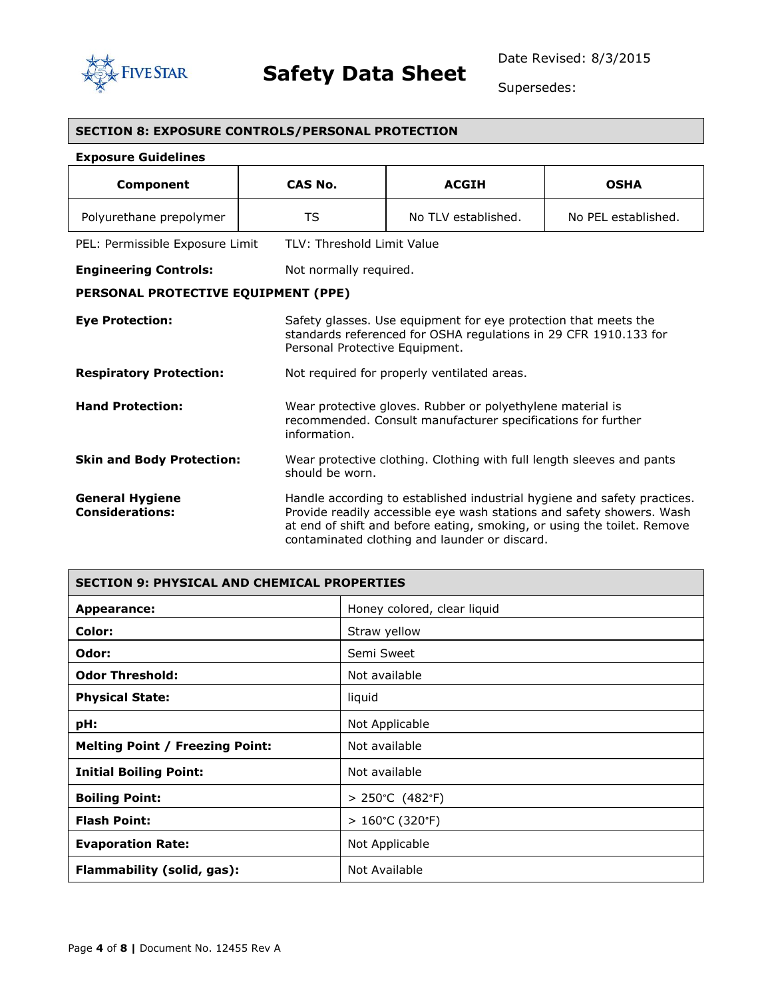

Г

Supersedes:

| <b>SECTION 8: EXPOSURE CONTROLS/PERSONAL PROTECTION</b> |                                |                                                                                                                                                                                                                                                                               |                     |
|---------------------------------------------------------|--------------------------------|-------------------------------------------------------------------------------------------------------------------------------------------------------------------------------------------------------------------------------------------------------------------------------|---------------------|
| <b>Exposure Guidelines</b>                              |                                |                                                                                                                                                                                                                                                                               |                     |
| Component                                               | CAS No.                        | <b>ACGIH</b>                                                                                                                                                                                                                                                                  | <b>OSHA</b>         |
| Polyurethane prepolymer                                 | <b>TS</b>                      | No TLV established.                                                                                                                                                                                                                                                           | No PEL established. |
| PEL: Permissible Exposure Limit                         | TLV: Threshold Limit Value     |                                                                                                                                                                                                                                                                               |                     |
| <b>Engineering Controls:</b>                            | Not normally required.         |                                                                                                                                                                                                                                                                               |                     |
| PERSONAL PROTECTIVE EQUIPMENT (PPE)                     |                                |                                                                                                                                                                                                                                                                               |                     |
| <b>Eye Protection:</b>                                  | Personal Protective Equipment. | Safety glasses. Use equipment for eye protection that meets the<br>standards referenced for OSHA regulations in 29 CFR 1910.133 for                                                                                                                                           |                     |
| <b>Respiratory Protection:</b>                          |                                | Not required for properly ventilated areas.                                                                                                                                                                                                                                   |                     |
| <b>Hand Protection:</b>                                 | information.                   | Wear protective gloves. Rubber or polyethylene material is<br>recommended. Consult manufacturer specifications for further                                                                                                                                                    |                     |
| <b>Skin and Body Protection:</b>                        | should be worn.                | Wear protective clothing. Clothing with full length sleeves and pants                                                                                                                                                                                                         |                     |
| <b>General Hygiene</b><br><b>Considerations:</b>        |                                | Handle according to established industrial hygiene and safety practices.<br>Provide readily accessible eye wash stations and safety showers. Wash<br>at end of shift and before eating, smoking, or using the toilet. Remove<br>contaminated clothing and launder or discard. |                     |

| <b>SECTION 9: PHYSICAL AND CHEMICAL PROPERTIES</b> |                                     |  |
|----------------------------------------------------|-------------------------------------|--|
| Appearance:                                        | Honey colored, clear liquid         |  |
| Color:                                             | Straw yellow                        |  |
| Odor:                                              | Semi Sweet                          |  |
| <b>Odor Threshold:</b>                             | Not available                       |  |
| <b>Physical State:</b>                             | liquid                              |  |
| pH:                                                | Not Applicable                      |  |
| <b>Melting Point / Freezing Point:</b>             | Not available                       |  |
| <b>Initial Boiling Point:</b>                      | Not available                       |  |
| <b>Boiling Point:</b>                              | $> 250^{\circ}$ C (482°F)           |  |
| <b>Flash Point:</b>                                | $>160^{\circ}$ C (320 $^{\circ}$ F) |  |
| <b>Evaporation Rate:</b>                           | Not Applicable                      |  |
| Flammability (solid, gas):                         | Not Available                       |  |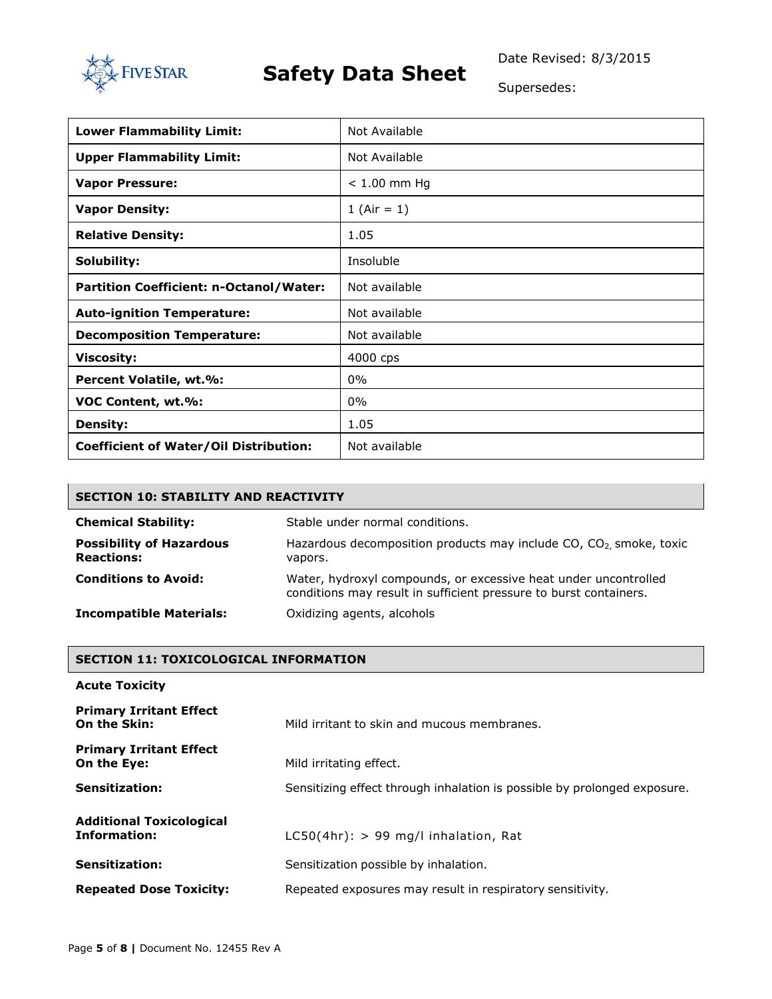

Date Revised: 8/3/2015

Supersedes:

| <b>Lower Flammability Limit:</b>              | Not Available  |
|-----------------------------------------------|----------------|
| <b>Upper Flammability Limit:</b>              | Not Available  |
| <b>Vapor Pressure:</b>                        | $< 1.00$ mm Hg |
| <b>Vapor Density:</b>                         | 1 (Air = $1$ ) |
| <b>Relative Density:</b>                      | 1.05           |
| Solubility:                                   | Insoluble      |
| Partition Coefficient: n-Octanol/Water:       | Not available  |
| <b>Auto-ignition Temperature:</b>             | Not available  |
| <b>Decomposition Temperature:</b>             | Not available  |
| <b>Viscosity:</b>                             | 4000 cps       |
| Percent Volatile, wt.%:                       | $0\%$          |
| VOC Content, wt.%:                            | $0\%$          |
| <b>Density:</b>                               | 1.05           |
| <b>Coefficient of Water/Oil Distribution:</b> | Not available  |

| <b>SECTION 10: STABILITY AND REACTIVITY</b>          |                                                                                                                                      |  |
|------------------------------------------------------|--------------------------------------------------------------------------------------------------------------------------------------|--|
| <b>Chemical Stability:</b>                           | Stable under normal conditions.                                                                                                      |  |
| <b>Possibility of Hazardous</b><br><b>Reactions:</b> | Hazardous decomposition products may include CO, CO <sub>2</sub> , smoke, toxic<br>vapors.                                           |  |
| <b>Conditions to Avoid:</b>                          | Water, hydroxyl compounds, or excessive heat under uncontrolled<br>conditions may result in sufficient pressure to burst containers. |  |
| <b>Incompatible Materials:</b>                       | Oxidizing agents, alcohols                                                                                                           |  |

### **SECTION 11: TOXICOLOGICAL INFORMATION**

| <b>Acute Toxicity</b>                           |                                                                          |  |
|-------------------------------------------------|--------------------------------------------------------------------------|--|
| <b>Primary Irritant Effect</b><br>On the Skin:  | Mild irritant to skin and mucous membranes.                              |  |
| <b>Primary Irritant Effect</b><br>On the Eye:   | Mild irritating effect.                                                  |  |
| Sensitization:                                  | Sensitizing effect through inhalation is possible by prolonged exposure. |  |
| <b>Additional Toxicological</b><br>Information: | $LCSO(4hr):$ > 99 mg/l inhalation, Rat                                   |  |
| <b>Sensitization:</b>                           | Sensitization possible by inhalation.                                    |  |
| <b>Repeated Dose Toxicity:</b>                  | Repeated exposures may result in respiratory sensitivity.                |  |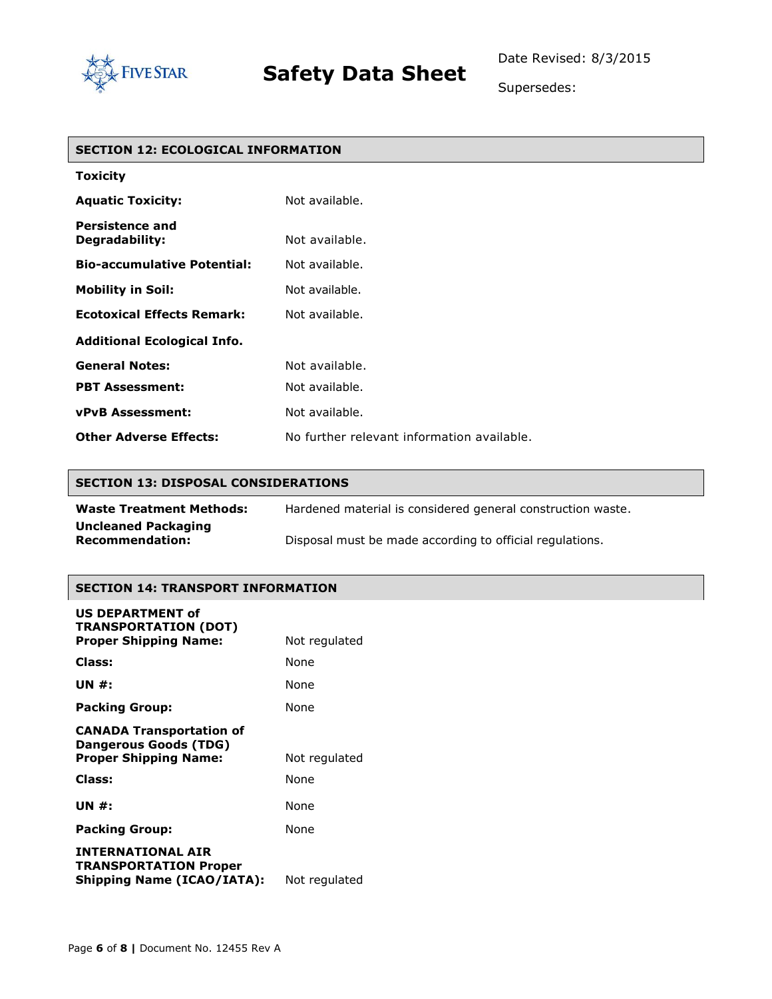

Supersedes:

### **SECTION 12: ECOLOGICAL INFORMATION**

| <b>Toxicity</b>                          |                                            |
|------------------------------------------|--------------------------------------------|
| <b>Aquatic Toxicity:</b>                 | Not available.                             |
| <b>Persistence and</b><br>Degradability: | Not available.                             |
| <b>Bio-accumulative Potential:</b>       | Not available.                             |
| <b>Mobility in Soil:</b>                 | Not available.                             |
| <b>Ecotoxical Effects Remark:</b>        | Not available.                             |
| <b>Additional Ecological Info.</b>       |                                            |
| <b>General Notes:</b>                    | Not available.                             |
| <b>PBT Assessment:</b>                   | Not available.                             |
| <b>vPvB Assessment:</b>                  | Not available.                             |
| <b>Other Adverse Effects:</b>            | No further relevant information available. |

#### **SECTION 13: DISPOSAL CONSIDERATIONS**

| <b>Waste Treatment Methods:</b>                      | Hardened material is considered general construction waste. |
|------------------------------------------------------|-------------------------------------------------------------|
| <b>Uncleaned Packaging</b><br><b>Recommendation:</b> | Disposal must be made according to official regulations.    |

#### **SECTION 14: TRANSPORT INFORMATION**

| <b>US DEPARTMENT of</b><br><b>TRANSPORTATION (DOT)</b>                                        |               |
|-----------------------------------------------------------------------------------------------|---------------|
| <b>Proper Shipping Name:</b>                                                                  | Not regulated |
| Class:                                                                                        | None          |
| UN #:                                                                                         | None          |
| <b>Packing Group:</b>                                                                         | None          |
| <b>CANADA Transportation of</b><br><b>Dangerous Goods (TDG)</b>                               |               |
| <b>Proper Shipping Name:</b>                                                                  | Not regulated |
| Class:                                                                                        | None          |
| UN #:                                                                                         | None          |
| <b>Packing Group:</b>                                                                         | None          |
| <b>INTERNATIONAL AIR</b><br><b>TRANSPORTATION Proper</b><br><b>Shipping Name (ICAO/IATA):</b> | Not regulated |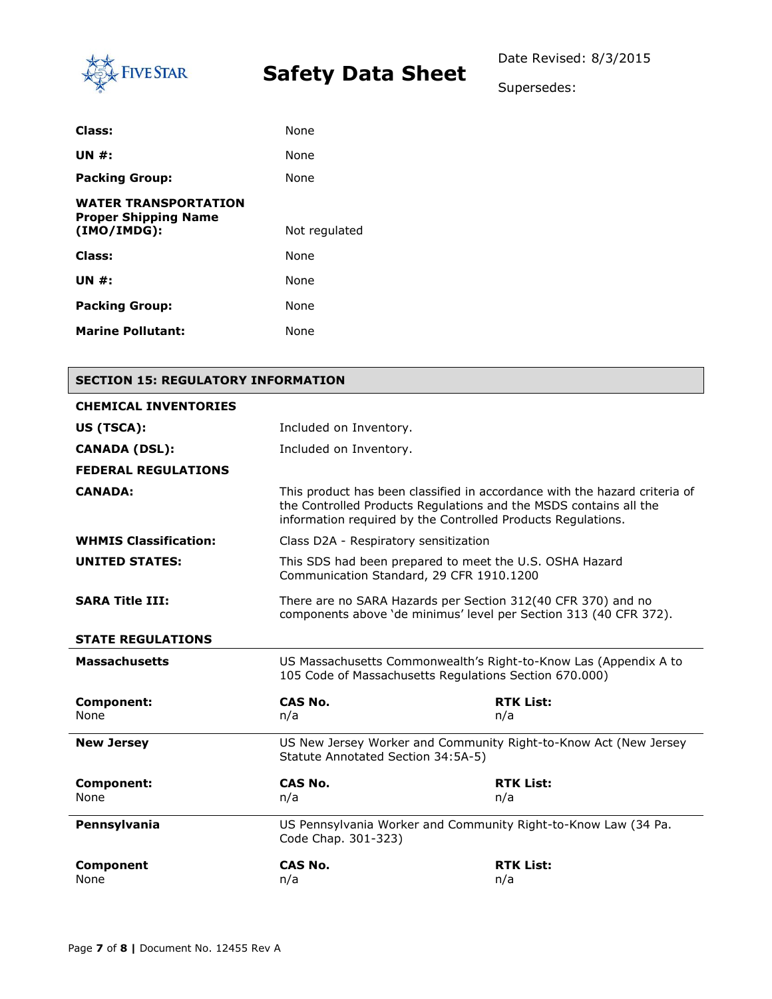

Supersedes:

| Class:                                                                    | None          |
|---------------------------------------------------------------------------|---------------|
| UN $#$ :                                                                  | None          |
| <b>Packing Group:</b>                                                     | None          |
| <b>WATER TRANSPORTATION</b><br><b>Proper Shipping Name</b><br>(IMO/IMDG): | Not regulated |
| Class:                                                                    | None          |
| UN $#$ :                                                                  | None          |
| <b>Packing Group:</b>                                                     | None          |
| <b>Marine Pollutant:</b>                                                  | None          |

### **SECTION 15: REGULATORY INFORMATION**

| <b>CHEMICAL INVENTORIES</b>  |                                                                                                                                                                                                                 |                         |  |  |
|------------------------------|-----------------------------------------------------------------------------------------------------------------------------------------------------------------------------------------------------------------|-------------------------|--|--|
| US (TSCA):                   | Included on Inventory.                                                                                                                                                                                          |                         |  |  |
| <b>CANADA (DSL):</b>         | Included on Inventory.                                                                                                                                                                                          |                         |  |  |
| <b>FEDERAL REGULATIONS</b>   |                                                                                                                                                                                                                 |                         |  |  |
| <b>CANADA:</b>               | This product has been classified in accordance with the hazard criteria of<br>the Controlled Products Regulations and the MSDS contains all the<br>information required by the Controlled Products Requlations. |                         |  |  |
| <b>WHMIS Classification:</b> | Class D2A - Respiratory sensitization                                                                                                                                                                           |                         |  |  |
| <b>UNITED STATES:</b>        | This SDS had been prepared to meet the U.S. OSHA Hazard<br>Communication Standard, 29 CFR 1910.1200                                                                                                             |                         |  |  |
| <b>SARA Title III:</b>       | There are no SARA Hazards per Section 312(40 CFR 370) and no<br>components above 'de minimus' level per Section 313 (40 CFR 372).                                                                               |                         |  |  |
| <b>STATE REGULATIONS</b>     |                                                                                                                                                                                                                 |                         |  |  |
| <b>Massachusetts</b>         | US Massachusetts Commonwealth's Right-to-Know Las (Appendix A to<br>105 Code of Massachusetts Regulations Section 670.000)                                                                                      |                         |  |  |
| Component:<br>None           | CAS No.<br>n/a                                                                                                                                                                                                  | <b>RTK List:</b><br>n/a |  |  |
| <b>New Jersey</b>            | US New Jersey Worker and Community Right-to-Know Act (New Jersey<br>Statute Annotated Section 34:5A-5)                                                                                                          |                         |  |  |
| <b>Component:</b>            | <b>CAS No.</b>                                                                                                                                                                                                  | <b>RTK List:</b>        |  |  |
| None                         | n/a                                                                                                                                                                                                             | n/a                     |  |  |
| Pennsylvania                 | US Pennsylvania Worker and Community Right-to-Know Law (34 Pa.<br>Code Chap. 301-323)                                                                                                                           |                         |  |  |
| Component<br>None            | <b>CAS No.</b><br>n/a                                                                                                                                                                                           | <b>RTK List:</b><br>n/a |  |  |
|                              |                                                                                                                                                                                                                 |                         |  |  |